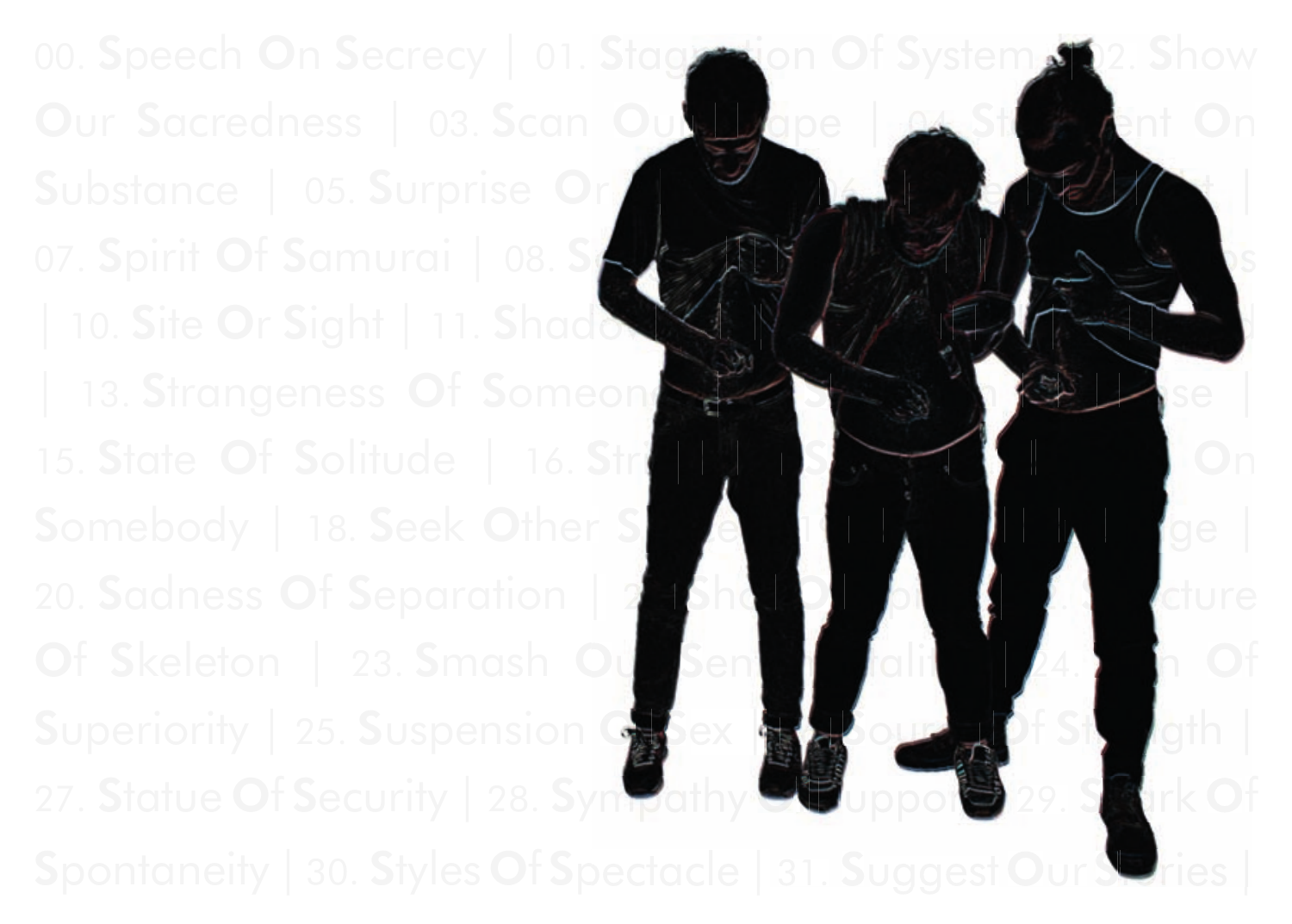00. Speech On Secrecy | 01. Stagnation Of System 2. Show Our Sacredness | 03. Scan Out Shape | Substance | 05. Surprise On Sight |  $\mathcal{A}$  |  $\mathcal{A}$  |  $\mathcal{A}$  |  $\mathcal{A}$  |  $\mathcal{A}$  |  $\mathcal{A}$  |  $\mathcal{A}$  |  $\mathcal{A}$  |  $\mathcal{A}$  |  $\mathcal{A}$  |  $\mathcal{A}$  |  $\mathcal{A}$  |  $\mathcal{A}$  |  $\mathcal{A}$  |  $\mathcal{A}$  |  $\mathcal{A}$  |  $\mathcal{A}$  07. Spirit Of Samurai | 08. Sp  $|$  10. Site Or Sight  $|$  11. Shado 15. State Of Solitude | 16. Strip Self | 17. Scandal On Somebody | 18. Seek Other Space | 19. Surrely | 19. Surrely | 19. Surrely | 19. Surrely | 19. Surrely | 19. Surrely | 19. Surrely | 19. Surrely | 19. Surrely | 19. Surrely | 19. Surrely | 19. Surrely | 19. Surrely | 19. S 20. Sadness Of Separation | 2<sup>1</sup>. Shot Of Spirit | 22. Structure Of Skeleton | 23. Smash Our Sentimentality | 24. Sign Of Superiority | 25. Suspension Chiex | 26. Source Of Strength 27. Statue Of Security | 28. Sympathy  $\bullet$  upport 29. Setirk Of